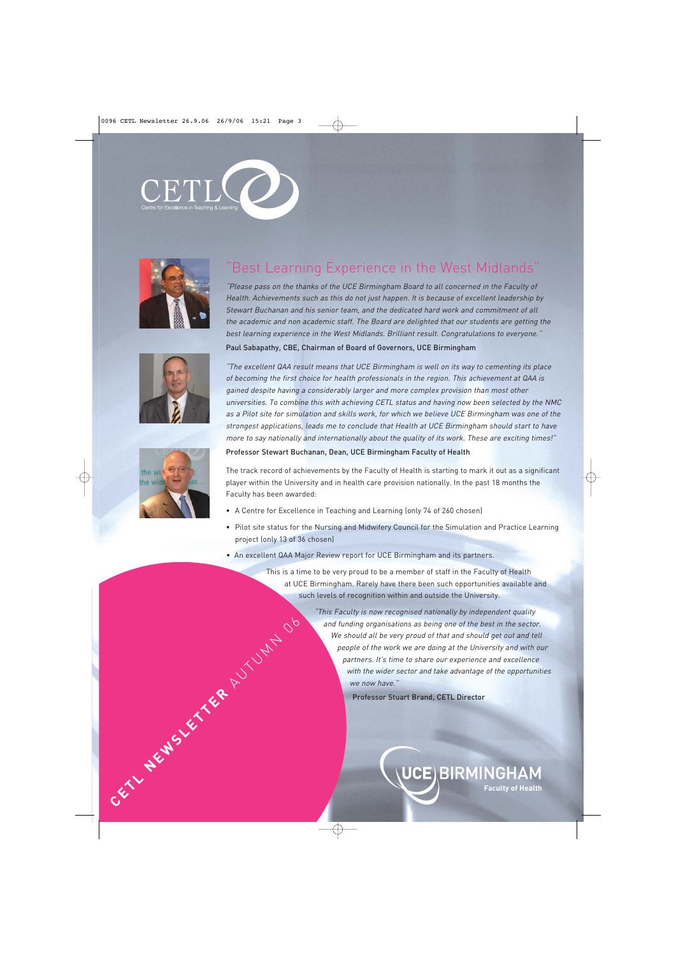







# "Best Learning Experience in the West Midlands"

"Please pass on the thanks of the UCE Birmingham Board to all concerned in the Faculty of Health. Achievements such as this do not just happen. It is because of excellent leadership by Stewart Buchanan and his senior team, and the dedicated hard work and commitment of all the academic and non academic staff. The Board are delighted that our students are getting the best learning experience in the West Midlands. Brilliant result. Congratulations to everyone."

#### Paul Sabapathy, CBE, Chairman of Board of Governors, UCE Birmingham

"The excellent QAA result means that UCE Birmingham is well on its way to cementing its place of becoming the first choice for health professionals in the region. This achievement at QAA is gained despite having a considerably larger and more complex provision than most other universities. To combine this with achieving CETL status and having now been selected by the NMC as a Pilot site for simulation and skills work, for which we believe UCE Birmingham was one of the strongest applications, leads me to conclude that Health at UCE Birmingham should start to have more to say nationally and internationally about the quality of its work. These are exciting times!"

Professor Stewart Buchanan, Dean, UCE Birmingham Faculty of Health

The track record of achievements by the Faculty of Health is starting to mark it out as a significant player within the University and in health care provision nationally. In the past 18 months the Faculty has been awarded:

- A Centre for Excellence in Teaching and Learning (only 74 of 260 chosen)
- Pilot site status for the Nursing and Midwifery Council for the Simulation and Practice Learning project (only 13 of 36 chosen)
- An excellent QAA Major Review report for UCE Birmingham and its partners.

This is a time to be very proud to be a member of staff in the Faculty of Health at UCE Birmingham. Rarely have there been such opportunities available and such levels of recognition within and outside the University.

"This Faculty is now recognised nationally by independent quality and funding organisations as being one of the best in the sector. We should all be very proud of that and should get out and tell people of the work we are doing at the University and with our partners. It's time to share our experience and excellence with the wider sector and take advantage of the opportunities we now have." Findependent quality<br>
should all be very proud of that and should get out and tell<br>
people of the work we are doing at the University and with the<br>
people of the work we are doing at the University and with the<br>
with the w

**Faculty of Health**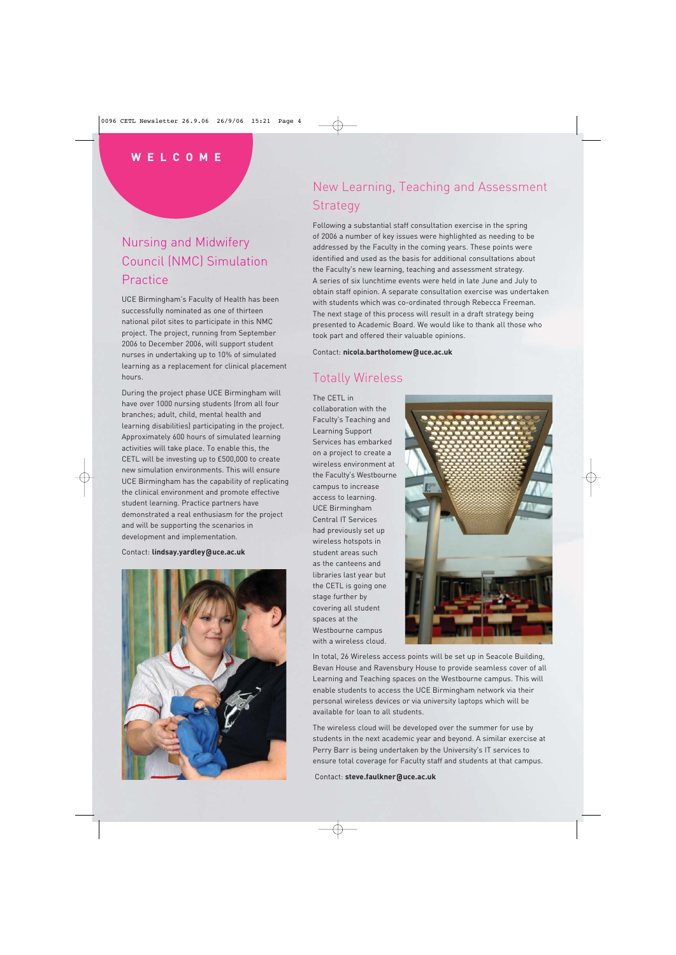### **WELCOME**

# Nursing and Midwifery Council (NMC) Simulation **Practice**

UCE Birmingham's Faculty of Health has been successfully nominated as one of thirteen national pilot sites to participate in this NMC project. The project, running from September 2006 to December 2006, will support student nurses in undertaking up to 10% of simulated learning as a replacement for clinical placement hours.

During the project phase UCE Birmingham will have over 1000 nursing students (from all four branches; adult, child, mental health and learning disabilities) participating in the project. Approximately 600 hours of simulated learning activities will take place. To enable this, the CETL will be investing up to £500,000 to create new simulation environments. This will ensure UCE Birmingham has the capability of replicating the clinical environment and promote effective student learning. Practice partners have demonstrated a real enthusiasm for the project and will be supporting the scenarios in development and implementation.

Contact: **lindsay.yardley@uce.ac.uk** 



## New Learning, Teaching and Assessment **Strategy**

Following a substantial staff consultation exercise in the spring of 2006 a number of key issues were highlighted as needing to be addressed by the Faculty in the coming years. These points were identified and used as the basis for additional consultations about the Faculty's new learning, teaching and assessment strategy. A series of six lunchtime events were held in late June and July to obtain staff opinion. A separate consultation exercise was undertaken with students which was co-ordinated through Rebecca Freeman. The next stage of this process will result in a draft strategy being presented to Academic Board. We would like to thank all those who took part and offered their valuable opinions.

Contact: **nicola.bartholomew@uce.ac.uk** 

### Totally Wireless

The CETL in collaboration with the Faculty's Teaching and Learning Support Services has embarked on a project to create a wireless environment at the Faculty's Westbourne campus to increase access to learning. UCE Birmingham Central IT Services had previously set up wireless hotspots in student areas such as the canteens and libraries last year but the CETL is going one stage further by covering all student spaces at the Westbourne campus with a wireless cloud.



In total, 26 Wireless access points will be set up in Seacole Building, Bevan House and Ravensbury House to provide seamless cover of all Learning and Teaching spaces on the Westbourne campus. This will enable students to access the UCE Birmingham network via their personal wireless devices or via university laptops which will be available for loan to all students.

The wireless cloud will be developed over the summer for use by students in the next academic year and beyond. A similar exercise at Perry Barr is being undertaken by the University's IT services to ensure total coverage for Faculty staff and students at that campus.

Contact: **steve.faulkner@uce.ac.uk**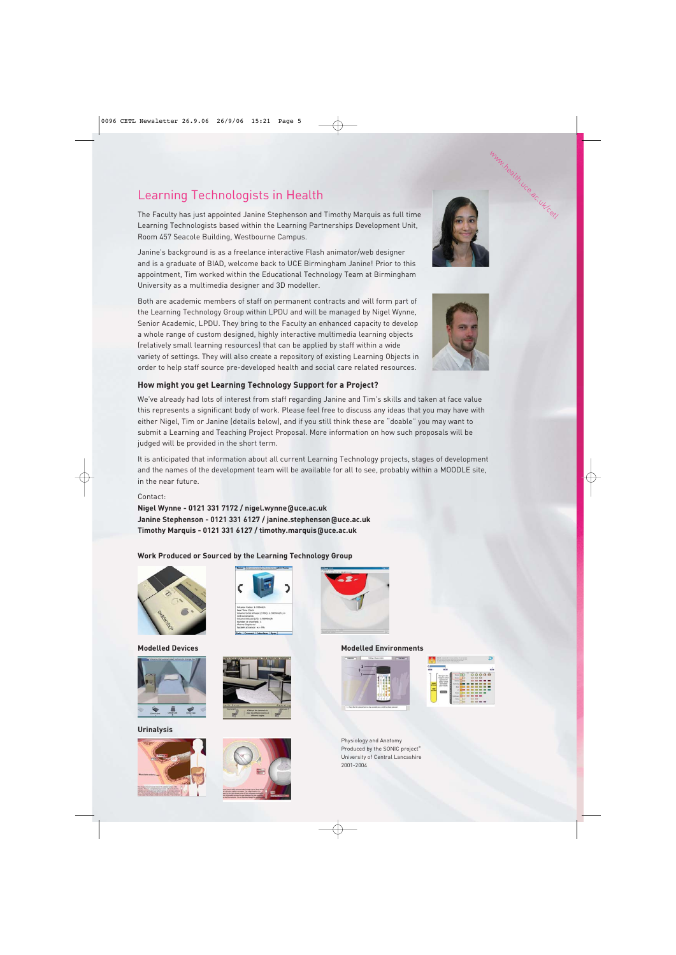## Learning Technologists in Health

The Faculty has just appointed Janine Stephenson and Timothy Marquis as full time Learning Technologists based within the Learning Partnerships Development Unit, Room 457 Seacole Building, Westbourne Campus.

Janine's background is as a freelance interactive Flash animator/web designer and is a graduate of BIAD, welcome back to UCE Birmingham Janine! Prior to this appointment, Tim worked within the Educational Technology Team at Birmingham University as a multimedia designer and 3D modeller.

Both are academic members of staff on permanent contracts and will form part of the Learning Technology Group within LPDU and will be managed by Nigel Wynne, Senior Academic, LPDU. They bring to the Faculty an enhanced capacity to develop a whole range of custom designed, highly interactive multimedia learning objects (relatively small learning resources) that can be applied by staff within a wide variety of settings. They will also create a repository of existing Learning Objects in order to help staff source pre-developed health and social care related resources.

### **How might you get Learning Technology Support for a Project?**

We've already had lots of interest from staff regarding Janine and Tim's skills and taken at face value this represents a significant body of work. Please feel free to discuss any ideas that you may have with either Nigel, Tim or Janine (details below), and if you still think these are "doable" you may want to submit a Learning and Teaching Project Proposal. More information on how such proposals will be judged will be provided in the short term.

It is anticipated that information about all current Learning Technology projects, stages of development and the names of the development team will be available for all to see, probably within a MOODLE site, in the near future.

#### Contact:

**Nigel Wynne - 0121 331 7172 / nigel.wynne@uce.ac.uk Janine Stephenson - 0121 331 6127 / janine.stephenson@uce.ac.uk Timothy Marquis - 0121 331 6127 / timothy.marquis@uce.ac.uk**

#### **Work Produced or Sourced by the Learning Technology Group**





**Urinalysis** 









#### **Modelled Devices Modelled Environments**





Physiology and Anatomy Produced by the SONIC project<sup>®</sup> University of Central Lancashire 2001-2004



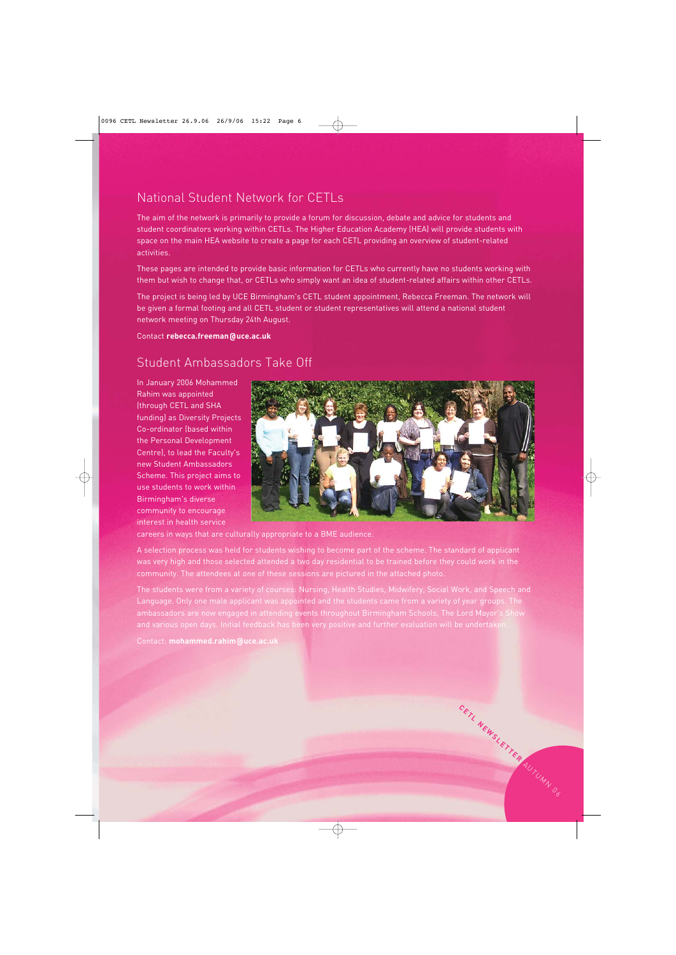# National Student Network for CETLs

The aim of the network is primarily to provide a forum for discussion, debate and advice for students and student coordinators working within CETLs. The Higher Education Academy (HEA) will provide students with space on the main HEA website to create a page for each CETL providing an overview of student-related activities.

These pages are intended to provide basic information for CETLs who currently have no students working with them but wish to change that, or CETLs who simply want an idea of student-related affairs within other CETLs.

The project is being led by UCE Birmingham's CETL student appointment, Rebecca Freeman. The network will be given a formal footing and all CETL student or student representatives will attend a national student network meeting on Thursday 24th August.

Contact **rebecca.freeman@uce.ac.uk** 

### Student Ambassadors Take Off

In January 2006 Mohammed Rahim was appointed (through CETL and SHA funding) as Diversity Projects Co-ordinator (based within the Personal Development Centre), to lead the Faculty's new Student Ambassadors Scheme. This project aims to use students to work within Birmingham's diverse community to encourage interest in health service



**CETL NEWSLETTER** AUTUMN 06

careers in ways that are culturally appropriate to a BME audience.

A selection process was held for students wishing to become part of the scheme. The standard of applicant was very high and those selected attended a two day residential to be trained before they could work in the community. The attendees at one of these sessions are pictured in the attached photo.

The students were from a variety of courses: Nursing, Health Studies, Midwifery, Social Work, and Speech and Language. Only one male applicant was appointed and the students came from a variety of year groups. The ambassadors are now engaged in attending events throughout Birmingham Schools, The Lord Mayor's Show and various open days. Initial feedback has been very positive and further evaluation will be undertaken.

Contact: **mohammed.rahim@uce.ac.uk**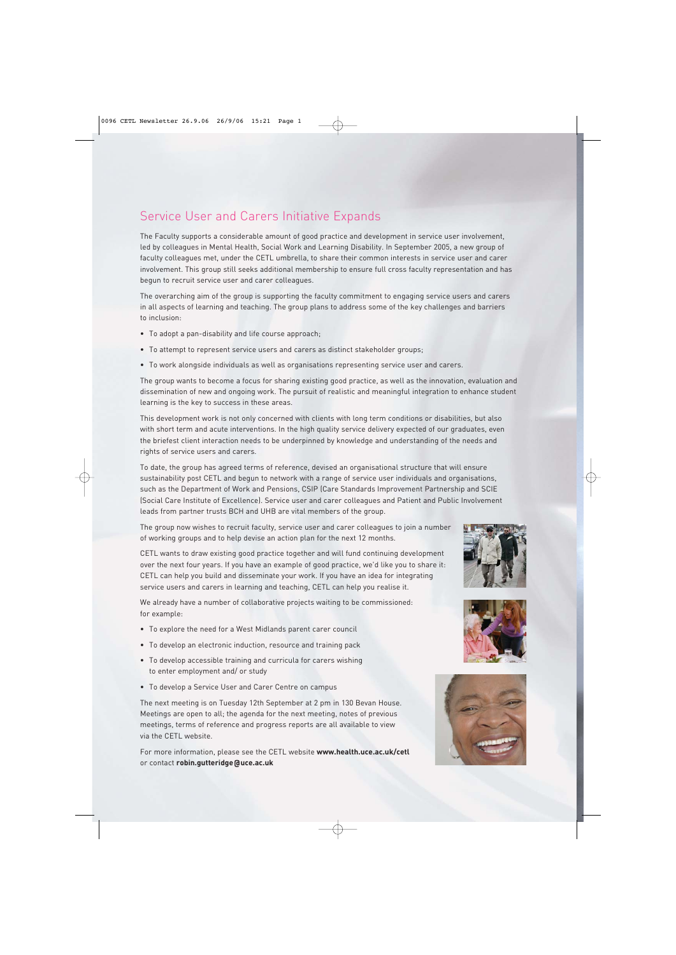### Service User and Carers Initiative Expands

The Faculty supports a considerable amount of good practice and development in service user involvement, led by colleagues in Mental Health, Social Work and Learning Disability. In September 2005, a new group of faculty colleagues met, under the CETL umbrella, to share their common interests in service user and carer involvement. This group still seeks additional membership to ensure full cross faculty representation and has begun to recruit service user and carer colleagues.

The overarching aim of the group is supporting the faculty commitment to engaging service users and carers in all aspects of learning and teaching. The group plans to address some of the key challenges and barriers to inclusion:

- To adopt a pan-disability and life course approach;
- To attempt to represent service users and carers as distinct stakeholder groups;
- To work alongside individuals as well as organisations representing service user and carers.

The group wants to become a focus for sharing existing good practice, as well as the innovation, evaluation and dissemination of new and ongoing work. The pursuit of realistic and meaningful integration to enhance student learning is the key to success in these areas.

This development work is not only concerned with clients with long term conditions or disabilities, but also with short term and acute interventions. In the high quality service delivery expected of our graduates, even the briefest client interaction needs to be underpinned by knowledge and understanding of the needs and rights of service users and carers.

To date, the group has agreed terms of reference, devised an organisational structure that will ensure sustainability post CETL and begun to network with a range of service user individuals and organisations, such as the Department of Work and Pensions, CSIP (Care Standards Improvement Partnership and SCIE (Social Care Institute of Excellence). Service user and carer colleagues and Patient and Public Involvement leads from partner trusts BCH and UHB are vital members of the group.

The group now wishes to recruit faculty, service user and carer colleagues to join a number of working groups and to help devise an action plan for the next 12 months.

CETL wants to draw existing good practice together and will fund continuing development over the next four years. If you have an example of good practice, we'd like you to share it: CETL can help you build and disseminate your work. If you have an idea for integrating service users and carers in learning and teaching, CETL can help you realise it.

We already have a number of collaborative projects waiting to be commissioned: for example:

- To explore the need for a West Midlands parent carer council
- To develop an electronic induction, resource and training pack
- To develop accessible training and curricula for carers wishing to enter employment and/ or study
- To develop a Service User and Carer Centre on campus

The next meeting is on Tuesday 12th September at 2 pm in 130 Bevan House. Meetings are open to all; the agenda for the next meeting, notes of previous meetings, terms of reference and progress reports are all available to view via the CETL website.

For more information, please see the CETL website **www.health.uce.ac.uk/cetl**  or contact **robin.gutteridge@uce.ac.uk**